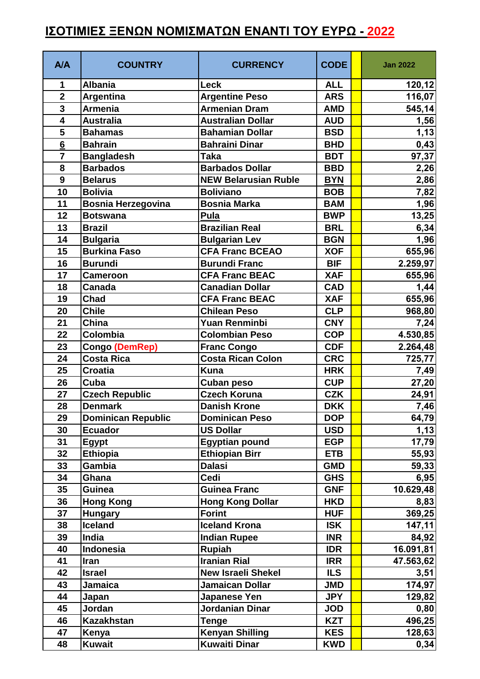## **ΙΣΟΤΙΜΙΕΣ ΞΕΝΩΝ ΝΟΜΙΣΜΑΤΩΝ ΕΝΑΝΤΙ ΤΟΥ ΕΥΡΩ - 2022**

| A/A                     | <b>COUNTRY</b>            | <b>CURRENCY</b>             | <b>CODE</b> | <b>Jan 2022</b> |
|-------------------------|---------------------------|-----------------------------|-------------|-----------------|
| 1                       | <b>Albania</b>            | <b>Leck</b>                 | <b>ALL</b>  | 120, 12         |
| $\overline{\mathbf{2}}$ | Argentina                 | <b>Argentine Peso</b>       | <b>ARS</b>  | 116,07          |
| $\overline{\mathbf{3}}$ | <b>Armenia</b>            | <b>Armenian Dram</b>        | <b>AMD</b>  | 545,14          |
| $\overline{\mathbf{4}}$ | <b>Australia</b>          | <b>Australian Dollar</b>    | <b>AUD</b>  | 1,56            |
| 5                       | <b>Bahamas</b>            | <b>Bahamian Dollar</b>      | <b>BSD</b>  | 1,13            |
| $6\phantom{1}6$         | <b>Bahrain</b>            | <b>Bahraini Dinar</b>       | <b>BHD</b>  | 0,43            |
| $\overline{7}$          | <b>Bangladesh</b>         | <b>Taka</b>                 | <b>BDT</b>  | 97,37           |
| 8                       | <b>Barbados</b>           | <b>Barbados Dollar</b>      | <b>BBD</b>  | 2,26            |
| 9                       | <b>Belarus</b>            | <b>NEW Belarusian Ruble</b> | <b>BYN</b>  | 2,86            |
| 10                      | <b>Bolivia</b>            | <b>Boliviano</b>            | <b>BOB</b>  | 7,82            |
| 11                      | <b>Bosnia Herzegovina</b> | <b>Bosnia Marka</b>         | <b>BAM</b>  | 1,96            |
| 12                      | <b>Botswana</b>           | Pula                        | <b>BWP</b>  | 13,25           |
| 13                      | <b>Brazil</b>             | <b>Brazilian Real</b>       | <b>BRL</b>  | 6,34            |
| 14                      | <b>Bulgaria</b>           | <b>Bulgarian Lev</b>        | <b>BGN</b>  | 1,96            |
| 15                      | <b>Burkina Faso</b>       | <b>CFA Franc BCEAO</b>      | <b>XOF</b>  | 655,96          |
| 16                      | <b>Burundi</b>            | <b>Burundi Franc</b>        | <b>BIF</b>  | 2.259,97        |
| 17                      | <b>Cameroon</b>           | <b>CFA Franc BEAC</b>       | <b>XAF</b>  | 655,96          |
| 18                      | Canada                    | <b>Canadian Dollar</b>      | <b>CAD</b>  | 1,44            |
| 19                      | <b>Chad</b>               | <b>CFA Franc BEAC</b>       | <b>XAF</b>  | 655,96          |
| 20                      | <b>Chile</b>              | <b>Chilean Peso</b>         | <b>CLP</b>  | 968,80          |
| 21                      | China                     | <b>Yuan Renminbi</b>        | <b>CNY</b>  | 7,24            |
| 22                      | Colombia                  | <b>Colombian Peso</b>       | <b>COP</b>  | 4.530,85        |
| 23                      | Congo (DemRep)            | <b>Franc Congo</b>          | <b>CDF</b>  | 2.264,48        |
| 24                      | <b>Costa Rica</b>         | <b>Costa Rican Colon</b>    | <b>CRC</b>  | 725,77          |
| 25                      | <b>Croatia</b>            | <b>Kuna</b>                 | <b>HRK</b>  | 7,49            |
| 26                      | Cuba                      | <b>Cuban peso</b>           | <b>CUP</b>  | 27,20           |
| 27                      | <b>Czech Republic</b>     | <b>Czech Koruna</b>         | <b>CZK</b>  | 24,91           |
| 28                      | <b>Denmark</b>            | <b>Danish Krone</b>         | <b>DKK</b>  | 7,46            |
| 29                      | <b>Dominican Republic</b> | <b>Dominican Peso</b>       | <b>DOP</b>  | 64,79           |
| 30                      | <b>Ecuador</b>            | <b>US Dollar</b>            | <b>USD</b>  | 1,13            |
| 31                      | <b>Egypt</b>              | <b>Egyptian pound</b>       | <b>EGP</b>  | 17,79           |
| 32                      | Ethiopia                  | <b>Ethiopian Birr</b>       | <b>ETB</b>  | 55,93           |
| 33                      | Gambia                    | <b>Dalasi</b>               | <b>GMD</b>  | 59,33           |
| 34                      | Ghana                     | Cedi                        | <b>GHS</b>  | 6,95            |
| 35                      | <b>Guinea</b>             | <b>Guinea Franc</b>         | <b>GNF</b>  | 10.629,48       |
| 36                      | <b>Hong Kong</b>          | <b>Hong Kong Dollar</b>     | <b>HKD</b>  | 8,83            |
| 37                      | <b>Hungary</b>            | <b>Forint</b>               | <b>HUF</b>  | 369,25          |
| 38                      | <b>Iceland</b>            | <b>Iceland Krona</b>        | <b>ISK</b>  | 147,11          |
| 39                      | India                     | <b>Indian Rupee</b>         | <b>INR</b>  | 84,92           |
| 40                      | <b>Indonesia</b>          | <b>Rupiah</b>               | <b>IDR</b>  | 16.091,81       |
| 41                      | Iran                      | <b>Iranian Rial</b>         | <b>IRR</b>  | 47.563,62       |
| 42                      | <b>Israel</b>             | <b>New Israeli Shekel</b>   | <b>ILS</b>  | 3,51            |
| 43                      | <b>Jamaica</b>            | <b>Jamaican Dollar</b>      | <b>JMD</b>  | 174,97          |
| 44                      | Japan                     | Japanese Yen                | <b>JPY</b>  | 129,82          |
| 45                      | Jordan                    | <b>Jordanian Dinar</b>      | <b>JOD</b>  | 0,80            |
| 46                      | <b>Kazakhstan</b>         | <b>Tenge</b>                | <b>KZT</b>  | 496,25          |
| 47                      | Kenya                     | <b>Kenyan Shilling</b>      | <b>KES</b>  | 128,63          |
| 48                      | <b>Kuwait</b>             | <b>Kuwaiti Dinar</b>        | <b>KWD</b>  | 0,34            |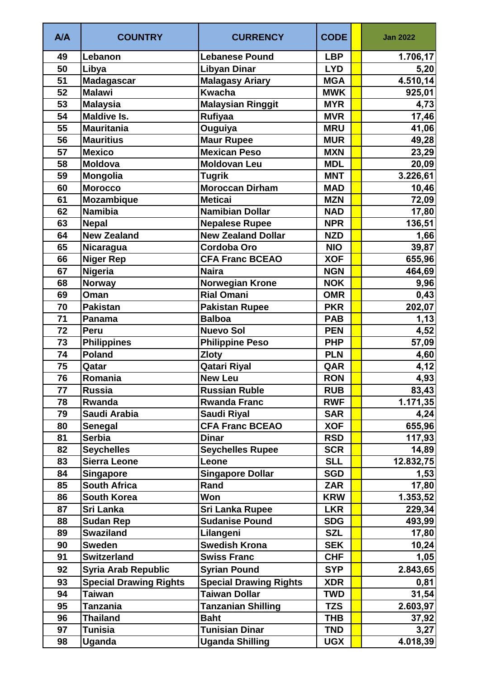| A/A | <b>COUNTRY</b>                | <b>CURRENCY</b>               | <b>CODE</b> | <b>Jan 2022</b> |
|-----|-------------------------------|-------------------------------|-------------|-----------------|
| 49  | Lebanon                       | <b>Lebanese Pound</b>         | <b>LBP</b>  | 1.706,17        |
| 50  | Libya                         | <b>Libyan Dinar</b>           | <b>LYD</b>  | 5,20            |
| 51  | <b>Madagascar</b>             | <b>Malagasy Ariary</b>        | <b>MGA</b>  | 4.510,14        |
| 52  | <b>Malawi</b>                 | <b>Kwacha</b>                 | <b>MWK</b>  | 925,01          |
| 53  | <b>Malaysia</b>               | <b>Malaysian Ringgit</b>      | <b>MYR</b>  | 4,73            |
| 54  | <b>Maldive Is.</b>            | <b>Rufiyaa</b>                | <b>MVR</b>  | 17,46           |
| 55  | <b>Mauritania</b>             | Ouguiya                       | <b>MRU</b>  | 41,06           |
| 56  | <b>Mauritius</b>              | <b>Maur Rupee</b>             | <b>MUR</b>  | 49,28           |
| 57  | <b>Mexico</b>                 | <b>Mexican Peso</b>           | <b>MXN</b>  | 23,29           |
| 58  | <b>Moldova</b>                | <b>Moldovan Leu</b>           | <b>MDL</b>  | 20,09           |
| 59  | Mongolia                      | <b>Tugrik</b>                 | <b>MNT</b>  | 3.226,61        |
| 60  | <b>Morocco</b>                | <b>Moroccan Dirham</b>        | <b>MAD</b>  | 10,46           |
| 61  | Mozambique                    | <b>Meticai</b>                | <b>MZN</b>  | 72,09           |
| 62  | <b>Namibia</b>                | <b>Namibian Dollar</b>        | <b>NAD</b>  | 17,80           |
| 63  | <b>Nepal</b>                  | <b>Nepalese Rupee</b>         | <b>NPR</b>  | 136,51          |
| 64  | <b>New Zealand</b>            | <b>New Zealand Dollar</b>     | <b>NZD</b>  | 1,66            |
| 65  | Nicaragua                     | <b>Cordoba Oro</b>            | <b>NIO</b>  | 39,87           |
| 66  | <b>Niger Rep</b>              | <b>CFA Franc BCEAO</b>        | <b>XOF</b>  | 655,96          |
| 67  | Nigeria                       | <b>Naira</b>                  | <b>NGN</b>  | 464,69          |
| 68  | <b>Norway</b>                 | <b>Norwegian Krone</b>        | <b>NOK</b>  | 9,96            |
| 69  | Oman                          | <b>Rial Omani</b>             | <b>OMR</b>  | 0,43            |
| 70  | <b>Pakistan</b>               | <b>Pakistan Rupee</b>         | <b>PKR</b>  | 202,07          |
| 71  | Panama                        | <b>Balboa</b>                 | <b>PAB</b>  | 1,13            |
| 72  | Peru                          | <b>Nuevo Sol</b>              | <b>PEN</b>  | 4,52            |
| 73  | <b>Philippines</b>            | <b>Philippine Peso</b>        | <b>PHP</b>  | 57,09           |
| 74  | <b>Poland</b>                 | <b>Zloty</b>                  | <b>PLN</b>  | 4,60            |
| 75  | Qatar                         | <b>Qatari Riyal</b>           | QAR         | 4,12            |
| 76  | Romania                       | <b>New Leu</b>                | <b>RON</b>  | 4,93            |
| 77  | <b>Russia</b>                 | <b>Russian Ruble</b>          | <b>RUB</b>  | 83,43           |
| 78  | Rwanda                        | <b>Rwanda Franc</b>           | <b>RWF</b>  | 1.171,35        |
| 79  | Saudi Arabia                  | <b>Saudi Riyal</b>            | <b>SAR</b>  | 4,24            |
| 80  | <b>Senegal</b>                | <b>CFA Franc BCEAO</b>        | <b>XOF</b>  | 655,96          |
| 81  | <b>Serbia</b>                 | <b>Dinar</b>                  | <b>RSD</b>  | 117,93          |
| 82  | <b>Seychelles</b>             | <b>Seychelles Rupee</b>       | <b>SCR</b>  | 14,89           |
| 83  | <b>Sierra Leone</b>           | Leone                         | <b>SLL</b>  | 12.832,75       |
| 84  | <b>Singapore</b>              | <b>Singapore Dollar</b>       | <b>SGD</b>  | 1,53            |
| 85  | <b>South Africa</b>           | Rand                          | <b>ZAR</b>  | 17,80           |
| 86  | <b>South Korea</b>            | Won                           | <b>KRW</b>  | 1.353,52        |
| 87  | Sri Lanka                     | <b>Sri Lanka Rupee</b>        | <b>LKR</b>  | 229,34          |
| 88  | <b>Sudan Rep</b>              | <b>Sudanise Pound</b>         | <b>SDG</b>  | 493,99          |
| 89  | <b>Swaziland</b>              | Lilangeni                     | <b>SZL</b>  | 17,80           |
| 90  | <b>Sweden</b>                 | <b>Swedish Krona</b>          | <b>SEK</b>  | 10,24           |
| 91  | <b>Switzerland</b>            | <b>Swiss Franc</b>            | <b>CHF</b>  | 1,05            |
| 92  | <b>Syria Arab Republic</b>    | <b>Syrian Pound</b>           | <b>SYP</b>  | 2.843,65        |
| 93  | <b>Special Drawing Rights</b> | <b>Special Drawing Rights</b> | <b>XDR</b>  | 0,81            |
| 94  | <b>Taiwan</b>                 | <b>Taiwan Dollar</b>          | <b>TWD</b>  | 31,54           |
| 95  | <b>Tanzania</b>               | <b>Tanzanian Shilling</b>     | <b>TZS</b>  | 2.603,97        |
| 96  | <b>Thailand</b>               | <b>Baht</b>                   | <b>THB</b>  | 37,92           |
| 97  | <b>Tunisia</b>                | <b>Tunisian Dinar</b>         | <b>TND</b>  | 3,27            |
| 98  | Uganda                        | <b>Uganda Shilling</b>        | <b>UGX</b>  | 4.018,39        |